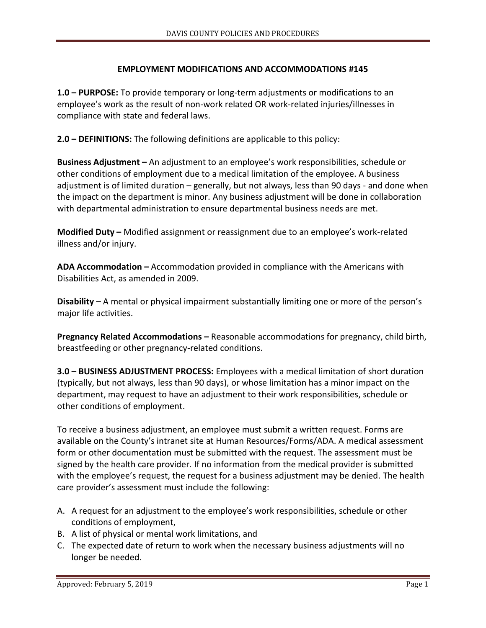## **EMPLOYMENT MODIFICATIONS AND ACCOMMODATIONS #145**

**1.0 – PURPOSE:** To provide temporary or long-term adjustments or modifications to an employee's work as the result of non-work related OR work-related injuries/illnesses in compliance with state and federal laws.

**2.0 – DEFINITIONS:** The following definitions are applicable to this policy:

**Business Adjustment –** An adjustment to an employee's work responsibilities, schedule or other conditions of employment due to a medical limitation of the employee. A business adjustment is of limited duration – generally, but not always, less than 90 days - and done when the impact on the department is minor. Any business adjustment will be done in collaboration with departmental administration to ensure departmental business needs are met.

**Modified Duty –** Modified assignment or reassignment due to an employee's work-related illness and/or injury.

**ADA Accommodation –** Accommodation provided in compliance with the Americans with Disabilities Act, as amended in 2009.

**Disability –** A mental or physical impairment substantially limiting one or more of the person's major life activities.

**Pregnancy Related Accommodations –** Reasonable accommodations for pregnancy, child birth, breastfeeding or other pregnancy-related conditions.

**3.0 – BUSINESS ADJUSTMENT PROCESS:** Employees with a medical limitation of short duration (typically, but not always, less than 90 days), or whose limitation has a minor impact on the department, may request to have an adjustment to their work responsibilities, schedule or other conditions of employment.

To receive a business adjustment, an employee must submit a written request. Forms are available on the County's intranet site at Human Resources/Forms/ADA. A medical assessment form or other documentation must be submitted with the request. The assessment must be signed by the health care provider. If no information from the medical provider is submitted with the employee's request, the request for a business adjustment may be denied. The health care provider's assessment must include the following:

- A. A request for an adjustment to the employee's work responsibilities, schedule or other conditions of employment,
- B. A list of physical or mental work limitations, and
- C. The expected date of return to work when the necessary business adjustments will no longer be needed.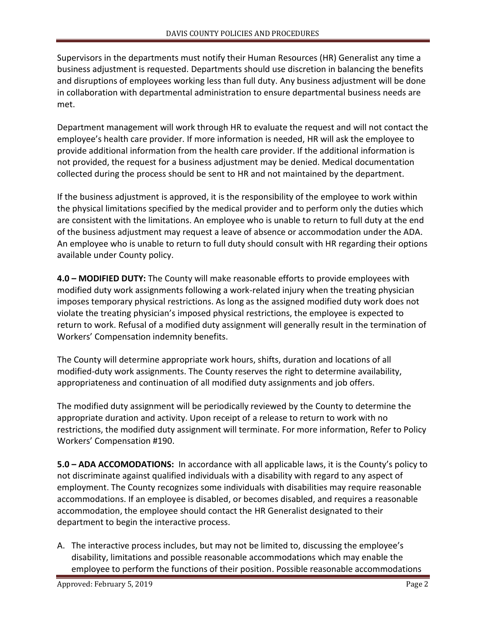Supervisors in the departments must notify their Human Resources (HR) Generalist any time a business adjustment is requested. Departments should use discretion in balancing the benefits and disruptions of employees working less than full duty. Any business adjustment will be done in collaboration with departmental administration to ensure departmental business needs are met.

Department management will work through HR to evaluate the request and will not contact the employee's health care provider. If more information is needed, HR will ask the employee to provide additional information from the health care provider. If the additional information is not provided, the request for a business adjustment may be denied. Medical documentation collected during the process should be sent to HR and not maintained by the department.

If the business adjustment is approved, it is the responsibility of the employee to work within the physical limitations specified by the medical provider and to perform only the duties which are consistent with the limitations. An employee who is unable to return to full duty at the end of the business adjustment may request a leave of absence or accommodation under the ADA. An employee who is unable to return to full duty should consult with HR regarding their options available under County policy.

**4.0 – MODIFIED DUTY:** The County will make reasonable efforts to provide employees with modified duty work assignments following a work-related injury when the treating physician imposes temporary physical restrictions. As long as the assigned modified duty work does not violate the treating physician's imposed physical restrictions, the employee is expected to return to work. Refusal of a modified duty assignment will generally result in the termination of Workers' Compensation indemnity benefits.

The County will determine appropriate work hours, shifts, duration and locations of all modified-duty work assignments. The County reserves the right to determine availability, appropriateness and continuation of all modified duty assignments and job offers.

The modified duty assignment will be periodically reviewed by the County to determine the appropriate duration and activity. Upon receipt of a release to return to work with no restrictions, the modified duty assignment will terminate. For more information, Refer to Policy Workers' Compensation #190.

**5.0 – ADA ACCOMODATIONS:** In accordance with all applicable laws, it is the County's policy to not discriminate against qualified individuals with a disability with regard to any aspect of employment. The County recognizes some individuals with disabilities may require reasonable accommodations. If an employee is disabled, or becomes disabled, and requires a reasonable accommodation, the employee should contact the HR Generalist designated to their department to begin the interactive process.

A. The interactive process includes, but may not be limited to, discussing the employee's disability, limitations and possible reasonable accommodations which may enable the employee to perform the functions of their position. Possible reasonable accommodations